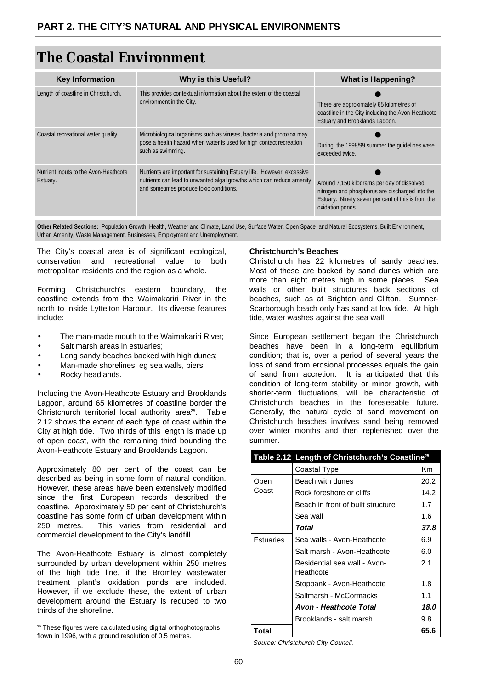# **The Coastal Environment**

| <b>Key Information</b>                            | <b>Why is this Useful?</b>                                                                                                                                                                  | <b>What is Happening?</b>                                                                                                                                                |
|---------------------------------------------------|---------------------------------------------------------------------------------------------------------------------------------------------------------------------------------------------|--------------------------------------------------------------------------------------------------------------------------------------------------------------------------|
| Length of coastline in Christchurch.              | This provides contextual information about the extent of the coastal<br>environment in the City.                                                                                            | There are approximately 65 kilometres of<br>coastline in the City including the Avon-Heathcote<br>Estuary and Brooklands Lagoon.                                         |
| Coastal recreational water quality.               | Microbiological organisms such as viruses, bacteria and protozoa may<br>pose a health hazard when water is used for high contact recreation<br>such as swimming.                            | During the 1998/99 summer the quidelines were<br>exceeded twice.                                                                                                         |
| Nutrient inputs to the Avon-Heathcote<br>Estuary. | Nutrients are important for sustaining Estuary life. However, excessive<br>nutrients can lead to unwanted algal growths which can reduce amenity<br>and sometimes produce toxic conditions. | Around 7,150 kilograms per day of dissolved<br>nitrogen and phosphorus are discharged into the<br>Estuary. Ninety seven per cent of this is from the<br>oxidation ponds. |

**Other Related Sections:** Population Growth, Health, Weather and Climate, Land Use, Surface Water, Open Space and Natural Ecosystems, Built Environment, Urban Amenity, Waste Management, Businesses, Employment and Unemployment.

The City's coastal area is of significant ecological, conservation and recreational value to both metropolitan residents and the region as a whole.

Forming Christchurch's eastern boundary, the coastline extends from the Waimakariri River in the north to inside Lyttelton Harbour. Its diverse features include:

- The man-made mouth to the Waimakariri River;
- Salt marsh areas in estuaries:
- Long sandy beaches backed with high dunes;
- Man-made shorelines, eg sea walls, piers;
- Rocky headlands.

Including the Avon-Heathcote Estuary and Brooklands Lagoon, around 65 kilometres of coastline border the Christchurch territorial local authority area<sup>25</sup>. Table 2.12 shows the extent of each type of coast within the City at high tide. Two thirds of this length is made up of open coast, with the remaining third bounding the Avon-Heathcote Estuary and Brooklands Lagoon.

Approximately 80 per cent of the coast can be described as being in some form of natural condition. However, these areas have been extensively modified since the first European records described the coastline. Approximately 50 per cent of Christchurch's coastline has some form of urban development within 250 metres. This varies from residential and commercial development to the City's landfill.

The Avon-Heathcote Estuary is almost completely surrounded by urban development within 250 metres of the high tide line, if the Bromley wastewater treatment plant's oxidation ponds are included. However, if we exclude these, the extent of urban development around the Estuary is reduced to two thirds of the shoreline.

#### **Christchurch's Beaches**

Christchurch has 22 kilometres of sandy beaches. Most of these are backed by sand dunes which are more than eight metres high in some places. Sea walls or other built structures back sections of beaches, such as at Brighton and Clifton. Sumner-Scarborough beach only has sand at low tide. At high tide, water washes against the sea wall.

Since European settlement began the Christchurch beaches have been in a long-term equilibrium condition; that is, over a period of several years the loss of sand from erosional processes equals the gain of sand from accretion. It is anticipated that this condition of long-term stability or minor growth, with shorter-term fluctuations, will be characteristic of Christchurch beaches in the foreseeable future. Generally, the natural cycle of sand movement on Christchurch beaches involves sand being removed over winter months and then replenished over the summer.

|           | Table 2.12 Length of Christchurch's Coastline <sup>25</sup> |      |
|-----------|-------------------------------------------------------------|------|
|           | Coastal Type                                                | Km   |
| Open      | Beach with dunes                                            | 20.2 |
| Coast     | Rock foreshore or cliffs                                    | 14.2 |
|           | Beach in front of built structure                           | 1.7  |
|           | Sea wall                                                    | 1.6  |
|           | Total                                                       | 37.8 |
| Estuaries | Sea walls - Avon-Heathcote                                  | 6.9  |
|           | Salt marsh - Avon-Heathcote                                 | 6.0  |
|           | Residential sea wall - Avon-<br>Heathcote                   | 2.1  |
|           | Stopbank - Avon-Heathcote                                   | 1.8  |
|           | Saltmarsh - McCormacks                                      | 1.1  |
|           | Avon - Heathcote Total                                      | 18.0 |
|           | Brooklands - salt marsh                                     | 9.8  |
| Total     |                                                             | 65.6 |

Source: Christchurch City Council.

<sup>&</sup>lt;sup>25</sup> These figures were calculated using digital orthophotographs flown in 1996, with a ground resolution of 0.5 metres.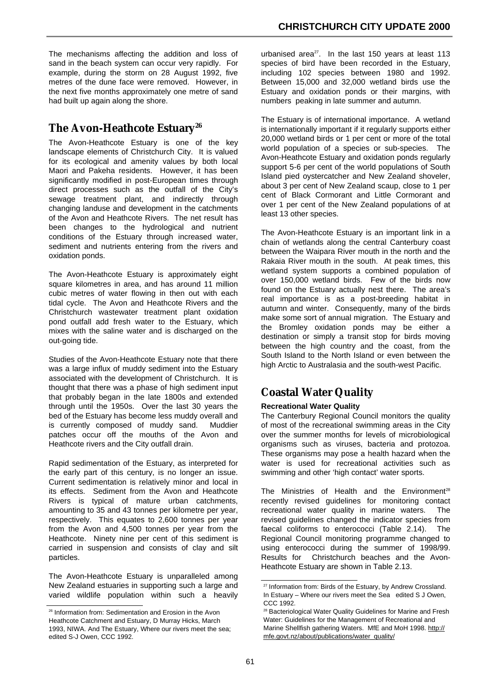The mechanisms affecting the addition and loss of sand in the beach system can occur very rapidly. For example, during the storm on 28 August 1992, five metres of the dune face were removed. However, in the next five months approximately one metre of sand had built up again along the shore.

## The Avon-Heathcote Estuary<sup>26</sup>

The Avon-Heathcote Estuary is one of the key landscape elements of Christchurch City. It is valued for its ecological and amenity values by both local Maori and Pakeha residents. However, it has been significantly modified in post-European times through direct processes such as the outfall of the City's sewage treatment plant, and indirectly through changing landuse and development in the catchments of the Avon and Heathcote Rivers. The net result has been changes to the hydrological and nutrient conditions of the Estuary through increased water, sediment and nutrients entering from the rivers and oxidation ponds.

The Avon-Heathcote Estuary is approximately eight square kilometres in area, and has around 11 million cubic metres of water flowing in then out with each tidal cycle. The Avon and Heathcote Rivers and the Christchurch wastewater treatment plant oxidation pond outfall add fresh water to the Estuary, which mixes with the saline water and is discharged on the out-going tide.

Studies of the Avon-Heathcote Estuary note that there was a large influx of muddy sediment into the Estuary associated with the development of Christchurch. It is thought that there was a phase of high sediment input that probably began in the late 1800s and extended through until the 1950s. Over the last 30 years the bed of the Estuary has become less muddy overall and is currently composed of muddy sand. Muddier patches occur off the mouths of the Avon and Heathcote rivers and the City outfall drain.

Rapid sedimentation of the Estuary, as interpreted for the early part of this century, is no longer an issue. Current sedimentation is relatively minor and local in its effects. Sediment from the Avon and Heathcote Rivers is typical of mature urban catchments, amounting to 35 and 43 tonnes per kilometre per year, respectively. This equates to 2,600 tonnes per year from the Avon and 4,500 tonnes per year from the Heathcote. Ninety nine per cent of this sediment is carried in suspension and consists of clay and silt particles.

The Avon-Heathcote Estuary is unparalleled among New Zealand estuaries in supporting such a large and varied wildlife population within such a heavily urbanised area $^{27}$ . In the last 150 years at least 113 species of bird have been recorded in the Estuary, including 102 species between 1980 and 1992. Between 15,000 and 32,000 wetland birds use the Estuary and oxidation ponds or their margins, with numbers peaking in late summer and autumn.

The Estuary is of international importance. A wetland is internationally important if it regularly supports either 20,000 wetland birds or 1 per cent or more of the total world population of a species or sub-species. The Avon-Heathcote Estuary and oxidation ponds regularly support 5-6 per cent of the world populations of South Island pied oystercatcher and New Zealand shoveler, about 3 per cent of New Zealand scaup, close to 1 per cent of Black Cormorant and Little Cormorant and over 1 per cent of the New Zealand populations of at least 13 other species.

The Avon-Heathcote Estuary is an important link in a chain of wetlands along the central Canterbury coast between the Waipara River mouth in the north and the Rakaia River mouth in the south. At peak times, this wetland system supports a combined population of over 150,000 wetland birds. Few of the birds now found on the Estuary actually nest there. The area's real importance is as a post-breeding habitat in autumn and winter. Consequently, many of the birds make some sort of annual migration. The Estuary and the Bromley oxidation ponds may be either a destination or simply a transit stop for birds moving between the high country and the coast, from the South Island to the North Island or even between the high Arctic to Australasia and the south-west Pacific.

# **Coastal Water Quality**

### **Recreational Water Quality**

The Canterbury Regional Council monitors the quality of most of the recreational swimming areas in the City over the summer months for levels of microbiological organisms such as viruses, bacteria and protozoa. These organisms may pose a health hazard when the water is used for recreational activities such as swimming and other 'high contact' water sports.

The Ministries of Health and the Environment<sup>28</sup> recently revised guidelines for monitoring contact recreational water quality in marine waters. The revised guidelines changed the indicator species from faecal coliforms to enterococci (Table 2.14). The Regional Council monitoring programme changed to using enterococci during the summer of 1998/99. Results for Christchurch beaches and the Avon-Heathcote Estuary are shown in Table 2.13.

<sup>26</sup> Information from: Sedimentation and Erosion in the Avon Heathcote Catchment and Estuary, D Murray Hicks, March 1993, NIWA. And The Estuary, Where our rivers meet the sea; edited S-J Owen, CCC 1992.

<sup>&</sup>lt;sup>27</sup> Information from: Birds of the Estuary, by Andrew Crossland. In Estuary – Where our rivers meet the Sea edited S J Owen, CCC 1992.

<sup>28</sup> Bacteriological Water Quality Guidelines for Marine and Fresh Water: Guidelines for the Management of Recreational and [Marine Shellfish gathering Waters. MfE and MoH 1998. http://](http://mfe.govt.nz/about/publications/water_quality) mfe.govt.nz/about/publications/water\_quality/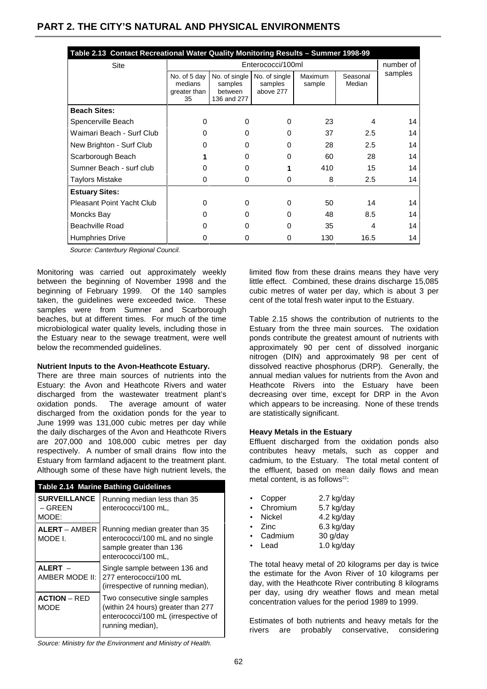| Table 2.13 Contact Recreational Water Quality Monitoring Results - Summer 1998-99 |                                               |                                                    |                                       |                          |                    |         |
|-----------------------------------------------------------------------------------|-----------------------------------------------|----------------------------------------------------|---------------------------------------|--------------------------|--------------------|---------|
| Site                                                                              | Enterococci/100ml                             |                                                    |                                       | number of                |                    |         |
|                                                                                   | No. of 5 day<br>medians<br>greater than<br>35 | No. of single<br>samples<br>between<br>136 and 277 | No. of single<br>samples<br>above 277 | <b>Maximum</b><br>sample | Seasonal<br>Median | samples |
| <b>Beach Sites:</b>                                                               |                                               |                                                    |                                       |                          |                    |         |
| Spencerville Beach                                                                | 0                                             | 0                                                  | 0                                     | 23                       | 4                  | 14      |
| Waimari Beach - Surf Club                                                         | n                                             | 0                                                  | <sup>0</sup>                          | 37                       | 2.5                | 14      |
| New Brighton - Surf Club                                                          | o                                             | 0                                                  | O                                     | 28                       | 2.5                | 14      |
| Scarborough Beach                                                                 |                                               | 0                                                  | <sup>0</sup>                          | 60                       | 28                 | 14      |
| Sumner Beach - surf club                                                          | 0                                             | 0                                                  |                                       | 410                      | 15                 | 14      |
| <b>Taylors Mistake</b>                                                            | O                                             | 0                                                  |                                       | 8                        | $2.5\,$            | 14      |
| <b>Estuary Sites:</b>                                                             |                                               |                                                    |                                       |                          |                    |         |
| <b>Pleasant Point Yacht Club</b>                                                  | 0                                             | 0                                                  | 0                                     | 50                       | 14                 | 14      |
| Moncks Bay                                                                        | 0                                             | 0                                                  | <sup>0</sup>                          | 48                       | 8.5                | 14      |
| <b>Beachville Road</b>                                                            | o                                             | O                                                  | <sup>0</sup>                          | 35                       | 4                  | 14      |
| <b>Humphries Drive</b>                                                            |                                               | O                                                  |                                       | 130                      | 16.5               | 14      |

Source: Canterbury Regional Council.

Monitoring was carried out approximately weekly between the beginning of November 1998 and the beginning of February 1999. Of the 140 samples taken, the guidelines were exceeded twice. These samples were from Sumner and Scarborough beaches, but at different times. For much of the time microbiological water quality levels, including those in the Estuary near to the sewage treatment, were well below the recommended guidelines.

#### **Nutrient Inputs to the Avon-Heathcote Estuary.**

There are three main sources of nutrients into the Estuary: the Avon and Heathcote Rivers and water discharged from the wastewater treatment plant's oxidation ponds. The average amount of water discharged from the oxidation ponds for the year to June 1999 was 131,000 cubic metres per day while the daily discharges of the Avon and Heathcote Rivers are 207,000 and 108,000 cubic metres per day respectively. A number of small drains flow into the Estuary from farmland adjacent to the treatment plant. Although some of these have high nutrient levels, the

| <b>Table 2.14 Marine Bathing Guidelines</b> |                                                                                                                                 |  |  |
|---------------------------------------------|---------------------------------------------------------------------------------------------------------------------------------|--|--|
| <b>SURVEILLANCE</b><br>– GREEN<br>MODE:     | Running median less than 35<br>enterococci/100 mL,                                                                              |  |  |
| <b>ALERT - AMBER</b><br>MODE L              | Running median greater than 35<br>enterococci/100 mL and no single<br>sample greater than 136<br>enterococci/100 mL,            |  |  |
| ALERT -<br>AMBER MODE II:                   | Single sample between 136 and<br>277 enterococci/100 mL<br>(irrespective of running median),                                    |  |  |
| <b>ACTION</b> – RED<br>MODE                 | Two consecutive single samples<br>(within 24 hours) greater than 277<br>enterococci/100 mL (irrespective of<br>running median), |  |  |

limited flow from these drains means they have very little effect. Combined, these drains discharge 15,085 cubic metres of water per day, which is about 3 per cent of the total fresh water input to the Estuary.

Table 2.15 shows the contribution of nutrients to the Estuary from the three main sources. The oxidation ponds contribute the greatest amount of nutrients with approximately 90 per cent of dissolved inorganic nitrogen (DIN) and approximately 98 per cent of dissolved reactive phosphorus (DRP). Generally, the annual median values for nutrients from the Avon and Heathcote Rivers into the Estuary have been decreasing over time, except for DRP in the Avon which appears to be increasing. None of these trends are statistically significant.

#### **Heavy Metals in the Estuary**

Effluent discharged from the oxidation ponds also contributes heavy metals, such as copper and cadmium, to the Estuary. The total metal content of the effluent, based on mean daily flows and mean metal content, is as follows<sup>22</sup>:

| Copper   | 2.7 kg/day |
|----------|------------|
| Chromium | 5.7 kg/day |
| Nickel   | 4.2 kg/day |
| Zinc     | 6.3 kg/day |
| Cadmium  | 30 g/day   |
| Lead     | 1.0 kg/day |

The total heavy metal of 20 kilograms per day is twice the estimate for the Avon River of 10 kilograms per day, with the Heathcote River contributing 8 kilograms per day, using dry weather flows and mean metal concentration values for the period 1989 to 1999.

Estimates of both nutrients and heavy metals for the rivers are probably conservative, considering

Source: Ministry for the Environment and Ministry of Health.